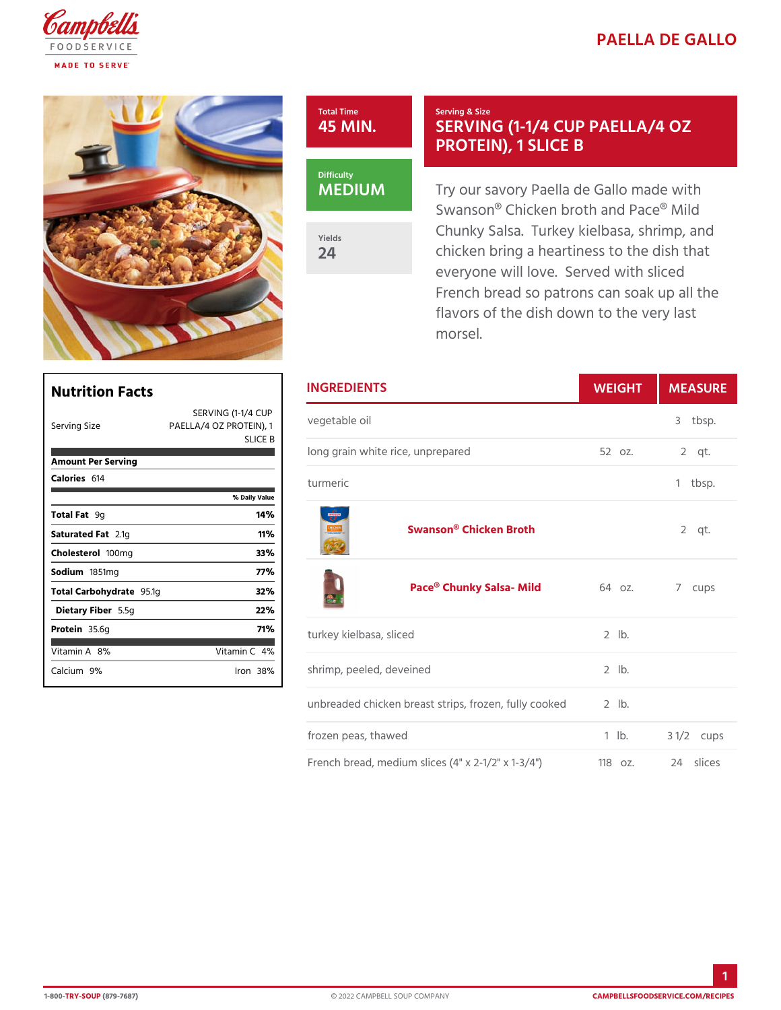## PAELLA DE GA

## Total Time 45 MIN.

## Serving & Size SERVING (1-1/4 CUP PA PROTEIN), 1 SLICE B

MEDIUM

Yields 24

Try our savory Paella de Gallo Swanson® Chicken broth and Pa Chunky Salsa. Turkey kielbasa chicken bring a heartiness to th everyone will love. Served with French bread so patrons can so flavors of the dish down to the morsel.

| Nutrition Facts                                      |                                | <b>INGREDIENTS</b>                                         | WEIGH      | MEASU                |
|------------------------------------------------------|--------------------------------|------------------------------------------------------------|------------|----------------------|
| Serving Size                                         | SERVING (1-14/4 CUP<br>SLIC# B | PAELLA/4 OZ PROTE $\check{R}$ o e <sub>1</sub> t a ble oil |            | 3 tbsp.              |
| Amount Per Serving                                   |                                | long grain white rice, unprepared                          | 52 oz.     | $2$ qt.              |
| Calorie6s14                                          | % Daily Value                  | turmeric                                                   |            | 1 tbsp.              |
| Total F9ag<br>Saturated 2F. atg<br>Cholestet @ 10 mg | 14 %<br>11%<br>33%             | Swanson® Chicken Broth                                     |            | $2$ qt.              |
| Sodium 851mg<br>Total Carbohy 95 at g                | 77%<br>32%                     | Pace® Chunky Salsa- M6kdoz.                                |            | 7 cups               |
| Dietary F5 b5eg                                      | 22%                            |                                                            |            |                      |
| Protei85.6g<br>Vitamin8A%                            | 71%<br>Vitamin4 <b>%</b>       | turkey kielbasa, sliced                                    | $2$ $ b$ . |                      |
| Calcium <sup>96</sup>                                | Iron38%                        | shrimp, peeled, deveined                                   | $2$ $ b$ . |                      |
|                                                      |                                | unbreaded chicken breast strips, fro2elrb, fully cooked    |            |                      |
|                                                      |                                | frozen peas, thawed                                        | $1$ $1b$ . | $3 \frac{1}{2c}$ ups |

French bread, medium slices  $(4" x 21182z.x 123/41)$ ces